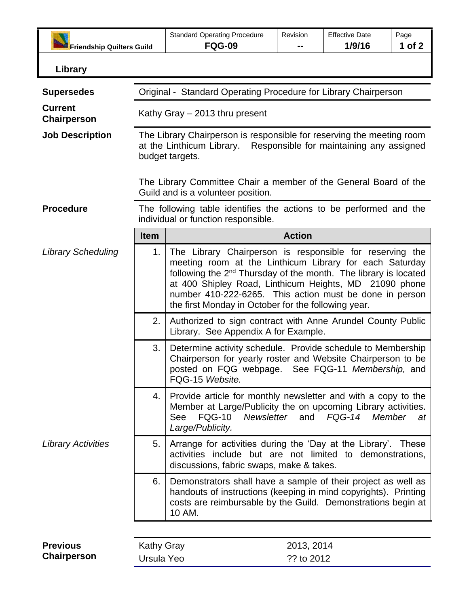| <b>Friendship Quilters Guild</b> |                                                                                                                                                                                                                                       | <b>Standard Operating Procedure</b><br><b>FQG-09</b>                                                                                                                                                                                                                                                                                                                           | Revision   | <b>Effective Date</b><br>1/9/16 | Page<br>1 of 2 |  |
|----------------------------------|---------------------------------------------------------------------------------------------------------------------------------------------------------------------------------------------------------------------------------------|--------------------------------------------------------------------------------------------------------------------------------------------------------------------------------------------------------------------------------------------------------------------------------------------------------------------------------------------------------------------------------|------------|---------------------------------|----------------|--|
| Library                          |                                                                                                                                                                                                                                       |                                                                                                                                                                                                                                                                                                                                                                                |            |                                 |                |  |
|                                  |                                                                                                                                                                                                                                       |                                                                                                                                                                                                                                                                                                                                                                                |            |                                 |                |  |
| <b>Supersedes</b>                | Original - Standard Operating Procedure for Library Chairperson                                                                                                                                                                       |                                                                                                                                                                                                                                                                                                                                                                                |            |                                 |                |  |
| <b>Current</b><br>Chairperson    | Kathy Gray - 2013 thru present                                                                                                                                                                                                        |                                                                                                                                                                                                                                                                                                                                                                                |            |                                 |                |  |
| <b>Job Description</b>           | The Library Chairperson is responsible for reserving the meeting room<br>Responsible for maintaining any assigned<br>at the Linthicum Library.<br>budget targets.<br>The Library Committee Chair a member of the General Board of the |                                                                                                                                                                                                                                                                                                                                                                                |            |                                 |                |  |
|                                  | Guild and is a volunteer position.                                                                                                                                                                                                    |                                                                                                                                                                                                                                                                                                                                                                                |            |                                 |                |  |
| <b>Procedure</b>                 | The following table identifies the actions to be performed and the<br>individual or function responsible.                                                                                                                             |                                                                                                                                                                                                                                                                                                                                                                                |            |                                 |                |  |
|                                  | <b>Item</b>                                                                                                                                                                                                                           | <b>Action</b>                                                                                                                                                                                                                                                                                                                                                                  |            |                                 |                |  |
| <b>Library Scheduling</b>        | 1.                                                                                                                                                                                                                                    | The Library Chairperson is responsible for reserving the<br>meeting room at the Linthicum Library for each Saturday<br>following the 2 <sup>nd</sup> Thursday of the month. The library is located<br>at 400 Shipley Road, Linthicum Heights, MD 21090 phone<br>number 410-222-6265. This action must be done in person<br>the first Monday in October for the following year. |            |                                 |                |  |
|                                  | 2.                                                                                                                                                                                                                                    | Authorized to sign contract with Anne Arundel County Public<br>Library. See Appendix A for Example.                                                                                                                                                                                                                                                                            |            |                                 |                |  |
|                                  | 3.                                                                                                                                                                                                                                    | Determine activity schedule. Provide schedule to Membership<br>Chairperson for yearly roster and Website Chairperson to be<br>posted on FQG webpage. See FQG-11 Membership, and<br>FQG-15 Website.                                                                                                                                                                             |            |                                 |                |  |
|                                  | 4.                                                                                                                                                                                                                                    | Provide article for monthly newsletter and with a copy to the<br>Member at Large/Publicity the on upcoming Library activities.<br><b>FQG-10</b><br>See<br>Large/Publicity.                                                                                                                                                                                                     |            | Newsletter and FQG-14           | Member<br>at   |  |
| <b>Library Activities</b>        | 5.                                                                                                                                                                                                                                    | Arrange for activities during the 'Day at the Library'. These<br>activities include but are not limited to demonstrations,<br>discussions, fabric swaps, make & takes.                                                                                                                                                                                                         |            |                                 |                |  |
|                                  | 6.                                                                                                                                                                                                                                    | Demonstrators shall have a sample of their project as well as<br>handouts of instructions (keeping in mind copyrights). Printing<br>costs are reimbursable by the Guild. Demonstrations begin at<br>10 AM.                                                                                                                                                                     |            |                                 |                |  |
| <b>Previous</b>                  | <b>Kathy Gray</b>                                                                                                                                                                                                                     |                                                                                                                                                                                                                                                                                                                                                                                | 2013, 2014 |                                 |                |  |

**Chairperson**

Kathy Gray Ursula Yeo 2013, 2014 ?? to 2012